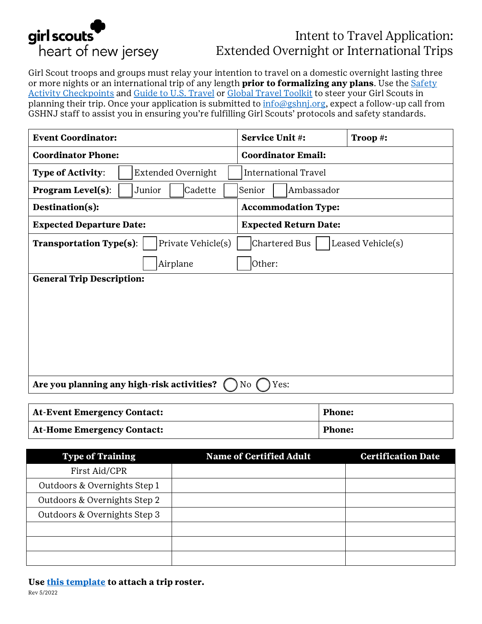

# Intent to Travel Application: Extended Overnight or International Trips

Girl Scout troops and groups must relay your intention to travel on a domestic overnight lasting three or more nights or an international trip of any length **prior to formalizing any plans**. Use the [Safety](https://www.gshnj.org/content/dam/girlscouts-gshnj/documents/volunteer/Safety%20Activity%20Checkpoints.pdf)  [Activity Checkpoints](https://www.gshnj.org/content/dam/girlscouts-gshnj/documents/volunteer/Safety%20Activity%20Checkpoints.pdf) and [Guide to U.S. Travel](http://forgirls.girlscouts.org/travel/resources/guide-to-u-s-travel/) or [Global Travel Toolkit](http://forgirls.girlscouts.org/travel/resources/global-travel-toolkit/) to steer your Girl Scouts in planning their trip. Once your application is submitted to [info@gshnj.org,](mailto:info@gshnj.org) expect a follow-up call from GSHNJ staff to assist you in ensuring you're fulfilling Girl Scouts' protocols and safety standards.

| <b>Event Coordinator:</b>                                                                  | Service Unit #:              | Troop #: |  |  |
|--------------------------------------------------------------------------------------------|------------------------------|----------|--|--|
| <b>Coordinator Phone:</b>                                                                  | <b>Coordinator Email:</b>    |          |  |  |
| <b>Type of Activity:</b><br><b>Extended Overnight</b>                                      | <b>International Travel</b>  |          |  |  |
| <b>Program Level(s):</b><br>Junior<br>Cadette<br>Ambassador<br>Senior                      |                              |          |  |  |
| Destination(s):                                                                            | <b>Accommodation Type:</b>   |          |  |  |
| <b>Expected Departure Date:</b>                                                            | <b>Expected Return Date:</b> |          |  |  |
| Chartered Bus<br><b>Transportation Type(s):</b><br>Private Vehicle(s)<br>Leased Vehicle(s) |                              |          |  |  |
| Other:<br>Airplane                                                                         |                              |          |  |  |
| <b>General Trip Description:</b>                                                           |                              |          |  |  |
|                                                                                            |                              |          |  |  |
|                                                                                            |                              |          |  |  |
|                                                                                            |                              |          |  |  |
|                                                                                            |                              |          |  |  |
|                                                                                            |                              |          |  |  |
| Are you planning any high-risk activities?<br>Yes:<br>No                                   |                              |          |  |  |

| <b>At-Event Emergency Contact:</b> | <b>Phone:</b> |
|------------------------------------|---------------|
| <b>At-Home Emergency Contact:</b>  | <b>Phone:</b> |

| <b>Type of Training</b>      | <b>Name of Certified Adult</b> | <b>Certification Date</b> |
|------------------------------|--------------------------------|---------------------------|
| First Aid/CPR                |                                |                           |
| Outdoors & Overnights Step 1 |                                |                           |
| Outdoors & Overnights Step 2 |                                |                           |
| Outdoors & Overnights Step 3 |                                |                           |
|                              |                                |                           |
|                              |                                |                           |
|                              |                                |                           |

#### **Use [this template](https://www.gshnj.org/content/dam/girlscouts-gshnj/documents/troop/Trip%20Application%20Roster%20Template.xlsx) to attach a trip roster.**